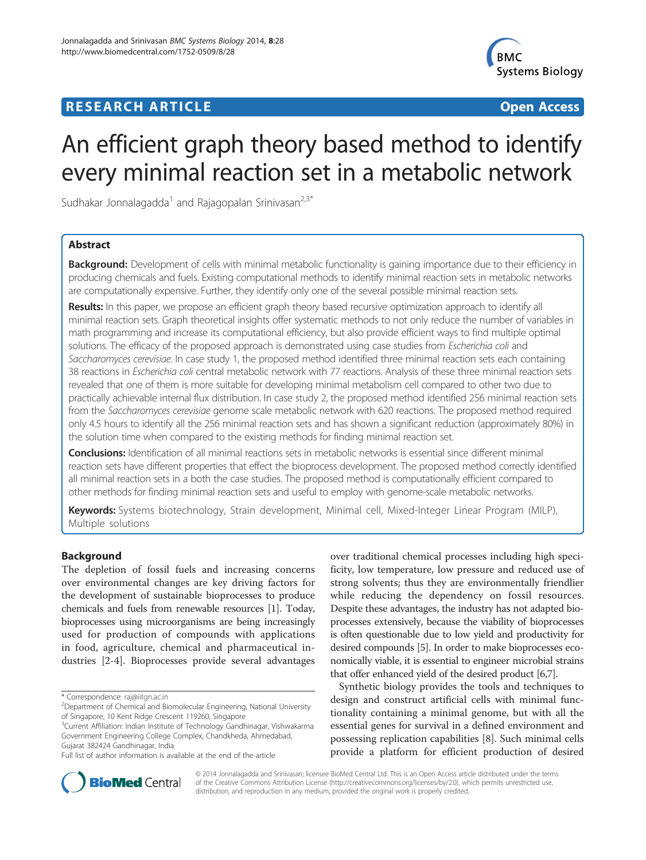## **RESEARCH ARTICLE Example 2014 CONSIDERING CONSIDERING CONSIDERING CONSIDERING CONSIDERING CONSIDERING CONSIDERING CONSIDERING CONSIDERING CONSIDERING CONSIDERING CONSIDERING CONSIDERING CONSIDERING CONSIDERING CONSIDE**



# An efficient graph theory based method to identify every minimal reaction set in a metabolic network

Sudhakar Jonnalagadda<sup>1</sup> and Rajagopalan Srinivasan<sup>2,3\*</sup>

## Abstract

Background: Development of cells with minimal metabolic functionality is gaining importance due to their efficiency in producing chemicals and fuels. Existing computational methods to identify minimal reaction sets in metabolic networks are computationally expensive. Further, they identify only one of the several possible minimal reaction sets.

Results: In this paper, we propose an efficient graph theory based recursive optimization approach to identify all minimal reaction sets. Graph theoretical insights offer systematic methods to not only reduce the number of variables in math programming and increase its computational efficiency, but also provide efficient ways to find multiple optimal solutions. The efficacy of the proposed approach is demonstrated using case studies from Escherichia coli and Saccharomyces cerevisiae. In case study 1, the proposed method identified three minimal reaction sets each containing 38 reactions in Escherichia coli central metabolic network with 77 reactions. Analysis of these three minimal reaction sets revealed that one of them is more suitable for developing minimal metabolism cell compared to other two due to practically achievable internal flux distribution. In case study 2, the proposed method identified 256 minimal reaction sets from the Saccharomyces cerevisiae genome scale metabolic network with 620 reactions. The proposed method required only 4.5 hours to identify all the 256 minimal reaction sets and has shown a significant reduction (approximately 80%) in the solution time when compared to the existing methods for finding minimal reaction set.

**Conclusions:** Identification of all minimal reactions sets in metabolic networks is essential since different minimal reaction sets have different properties that effect the bioprocess development. The proposed method correctly identified all minimal reaction sets in a both the case studies. The proposed method is computationally efficient compared to other methods for finding minimal reaction sets and useful to employ with genome-scale metabolic networks.

Keywords: Systems biotechnology, Strain development, Minimal cell, Mixed-Integer Linear Program (MILP), Multiple solutions

## Background

The depletion of fossil fuels and increasing concerns over environmental changes are key driving factors for the development of sustainable bioprocesses to produce chemicals and fuels from renewable resources [\[1\]](#page-12-0). Today, bioprocesses using microorganisms are being increasingly used for production of compounds with applications in food, agriculture, chemical and pharmaceutical industries [[2-4](#page-12-0)]. Bioprocesses provide several advantages

over traditional chemical processes including high specificity, low temperature, low pressure and reduced use of strong solvents; thus they are environmentally friendlier while reducing the dependency on fossil resources. Despite these advantages, the industry has not adapted bioprocesses extensively, because the viability of bioprocesses is often questionable due to low yield and productivity for desired compounds [[5](#page-12-0)]. In order to make bioprocesses economically viable, it is essential to engineer microbial strains that offer enhanced yield of the desired product [\[6,7\]](#page-12-0).

Synthetic biology provides the tools and techniques to design and construct artificial cells with minimal functionality containing a minimal genome, but with all the essential genes for survival in a defined environment and possessing replication capabilities [[8\]](#page-12-0). Such minimal cells provide a platform for efficient production of desired



© 2014 Jonnalagadda and Srinivasan; licensee BioMed Central Ltd. This is an Open Access article distributed under the terms of the Creative Commons Attribution License (<http://creativecommons.org/licenses/by/2.0>), which permits unrestricted use, distribution, and reproduction in any medium, provided the original work is properly credited.

<sup>\*</sup> Correspondence: [raj@iitgn.ac.in](mailto:raj@iitgn.ac.in)

<sup>&</sup>lt;sup>2</sup>Department of Chemical and Biomolecular Engineering, National University of Singapore, 10 Kent Ridge Crescent 119260, Singapore

<sup>&</sup>lt;sup>3</sup>Current Affiliation: Indian Institute of Technology Gandhinagar, Vishwakarma Government Engineering College Complex, Chandkheda, Ahmedabad, Gujarat 382424 Gandhinagar, India

Full list of author information is available at the end of the article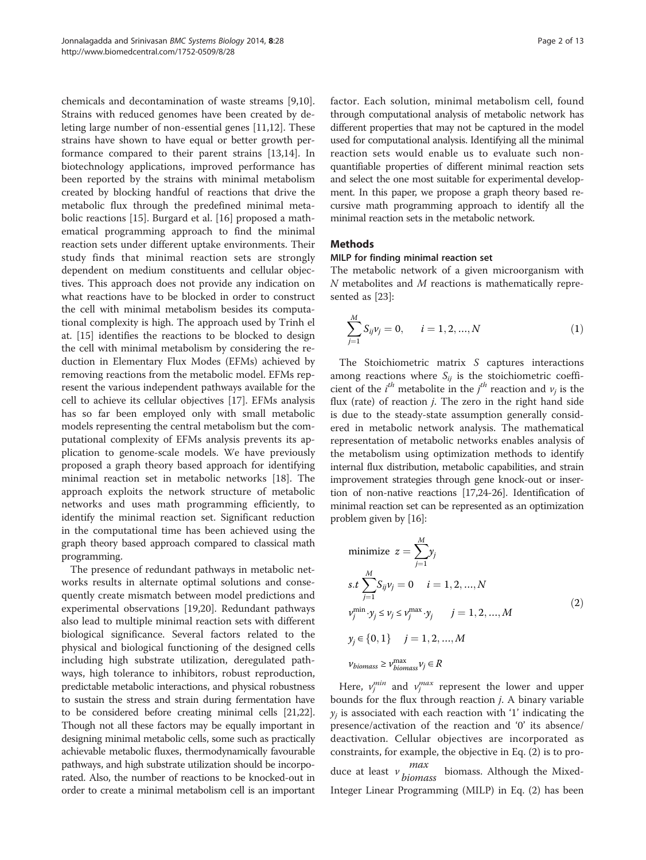<span id="page-1-0"></span>chemicals and decontamination of waste streams [\[9,10](#page-12-0)]. Strains with reduced genomes have been created by deleting large number of non-essential genes [\[11,12](#page-12-0)]. These strains have shown to have equal or better growth performance compared to their parent strains [[13,14\]](#page-12-0). In biotechnology applications, improved performance has been reported by the strains with minimal metabolism created by blocking handful of reactions that drive the metabolic flux through the predefined minimal metabolic reactions [\[15](#page-12-0)]. Burgard et al. [[16\]](#page-12-0) proposed a mathematical programming approach to find the minimal reaction sets under different uptake environments. Their study finds that minimal reaction sets are strongly dependent on medium constituents and cellular objectives. This approach does not provide any indication on what reactions have to be blocked in order to construct the cell with minimal metabolism besides its computational complexity is high. The approach used by Trinh el at. [[15\]](#page-12-0) identifies the reactions to be blocked to design the cell with minimal metabolism by considering the reduction in Elementary Flux Modes (EFMs) achieved by removing reactions from the metabolic model. EFMs represent the various independent pathways available for the cell to achieve its cellular objectives [\[17](#page-12-0)]. EFMs analysis has so far been employed only with small metabolic models representing the central metabolism but the computational complexity of EFMs analysis prevents its application to genome-scale models. We have previously proposed a graph theory based approach for identifying minimal reaction set in metabolic networks [\[18\]](#page-12-0). The approach exploits the network structure of metabolic networks and uses math programming efficiently, to identify the minimal reaction set. Significant reduction in the computational time has been achieved using the graph theory based approach compared to classical math programming.

The presence of redundant pathways in metabolic networks results in alternate optimal solutions and consequently create mismatch between model predictions and experimental observations [[19,20\]](#page-12-0). Redundant pathways also lead to multiple minimal reaction sets with different biological significance. Several factors related to the physical and biological functioning of the designed cells including high substrate utilization, deregulated pathways, high tolerance to inhibitors, robust reproduction, predictable metabolic interactions, and physical robustness to sustain the stress and strain during fermentation have to be considered before creating minimal cells [\[21,22](#page-12-0)]. Though not all these factors may be equally important in designing minimal metabolic cells, some such as practically achievable metabolic fluxes, thermodynamically favourable pathways, and high substrate utilization should be incorporated. Also, the number of reactions to be knocked-out in order to create a minimal metabolism cell is an important factor. Each solution, minimal metabolism cell, found through computational analysis of metabolic network has different properties that may not be captured in the model used for computational analysis. Identifying all the minimal reaction sets would enable us to evaluate such nonquantifiable properties of different minimal reaction sets and select the one most suitable for experimental development. In this paper, we propose a graph theory based recursive math programming approach to identify all the minimal reaction sets in the metabolic network.

#### **Methods**

#### MILP for finding minimal reaction set

The metabolic network of a given microorganism with N metabolites and M reactions is mathematically represented as [\[23](#page-12-0)]:

$$
\sum_{j=1}^{M} S_{ij} v_j = 0, \qquad i = 1, 2, ..., N
$$
 (1)

The Stoichiometric matrix S captures interactions among reactions where  $S_{ij}$  is the stoichiometric coefficient of the  $i^{th}$  metabolite in the  $j^{th}$  reaction and  $v_j$  is the flux (rate) of reaction j. The zero in the right hand side is due to the steady-state assumption generally considered in metabolic network analysis. The mathematical representation of metabolic networks enables analysis of the metabolism using optimization methods to identify internal flux distribution, metabolic capabilities, and strain improvement strategies through gene knock-out or insertion of non-native reactions [\[17,24](#page-12-0)-[26](#page-12-0)]. Identification of minimal reaction set can be represented as an optimization problem given by [\[16](#page-12-0)]:

minimize 
$$
z = \sum_{j=1}^{M} y_j
$$
  
\ns.t  $\sum_{j=1}^{M} S_{ij} v_j = 0$   $i = 1, 2, ..., N$   
\n
$$
v_j^{\min} \cdot y_j \le v_j \le v_j^{\max} \cdot y_j \qquad j = 1, 2, ..., M
$$
\n
$$
y_j \in \{0, 1\} \qquad j = 1, 2, ..., M
$$
\n
$$
v_{biomass} \ge v_{biomass}^{\max} v_j \in R
$$
\n(2)

Here,  $v_j^{min}$  and  $v_j^{max}$  represent the lower and upper bounds for the flux through reaction  $j$ . A binary variable  $y_j$  is associated with each reaction with '1' indicating the presence/activation of the reaction and '0' its absence/ deactivation. Cellular objectives are incorporated as constraints, for example, the objective in Eq. (2) is to produce at least  $v_{higues}$  $max$  biomass. Although the Mixed-Integer Linear Programming (MILP) in Eq. (2) has been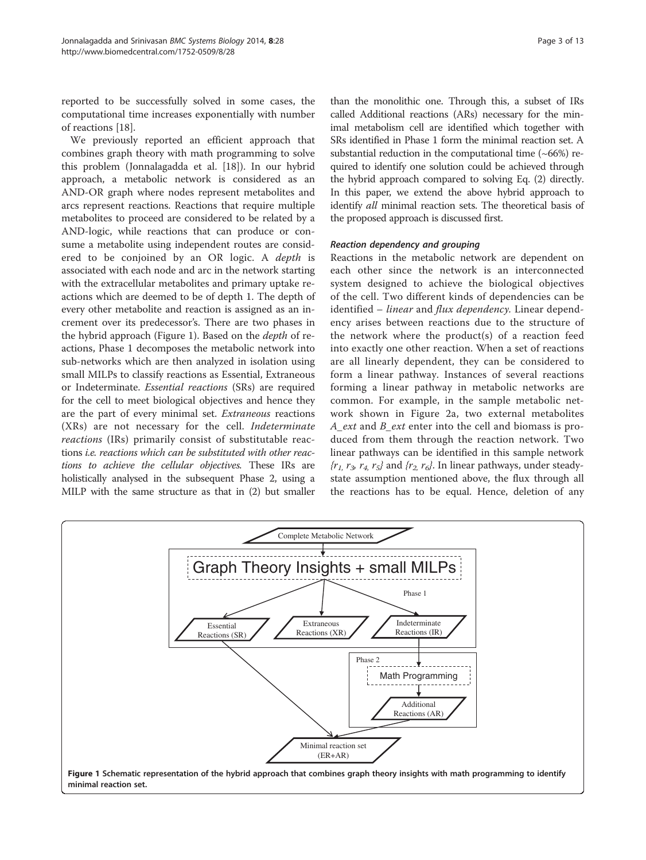<span id="page-2-0"></span>reported to be successfully solved in some cases, the computational time increases exponentially with number of reactions [[18\]](#page-12-0).

We previously reported an efficient approach that combines graph theory with math programming to solve this problem (Jonnalagadda et al. [\[18](#page-12-0)]). In our hybrid approach, a metabolic network is considered as an AND-OR graph where nodes represent metabolites and arcs represent reactions. Reactions that require multiple metabolites to proceed are considered to be related by a AND-logic, while reactions that can produce or consume a metabolite using independent routes are considered to be conjoined by an OR logic. A depth is associated with each node and arc in the network starting with the extracellular metabolites and primary uptake reactions which are deemed to be of depth 1. The depth of every other metabolite and reaction is assigned as an increment over its predecessor's. There are two phases in the hybrid approach (Figure 1). Based on the depth of reactions, Phase 1 decomposes the metabolic network into sub-networks which are then analyzed in isolation using small MILPs to classify reactions as Essential, Extraneous or Indeterminate. Essential reactions (SRs) are required for the cell to meet biological objectives and hence they are the part of every minimal set. Extraneous reactions (XRs) are not necessary for the cell. Indeterminate reactions (IRs) primarily consist of substitutable reactions i.e. reactions which can be substituted with other reactions to achieve the cellular objectives. These IRs are holistically analysed in the subsequent Phase 2, using a MILP with the same structure as that in (2) but smaller

than the monolithic one. Through this, a subset of IRs called Additional reactions (ARs) necessary for the minimal metabolism cell are identified which together with SRs identified in Phase 1 form the minimal reaction set. A substantial reduction in the computational time  $(-66%)$  required to identify one solution could be achieved through the hybrid approach compared to solving Eq. ([2](#page-1-0)) directly. In this paper, we extend the above hybrid approach to identify all minimal reaction sets. The theoretical basis of the proposed approach is discussed first.

#### Reaction dependency and grouping

Reactions in the metabolic network are dependent on each other since the network is an interconnected system designed to achieve the biological objectives of the cell. Two different kinds of dependencies can be identified – linear and flux dependency. Linear dependency arises between reactions due to the structure of the network where the product(s) of a reaction feed into exactly one other reaction. When a set of reactions are all linearly dependent, they can be considered to form a linear pathway. Instances of several reactions forming a linear pathway in metabolic networks are common. For example, in the sample metabolic network shown in Figure [2](#page-3-0)a, two external metabolites A\_ext and B\_ext enter into the cell and biomass is produced from them through the reaction network. Two linear pathways can be identified in this sample network  ${r_1, r_3, r_4, r_5}$  and  ${r_2, r_6}$ . In linear pathways, under steadystate assumption mentioned above, the flux through all the reactions has to be equal. Hence, deletion of any

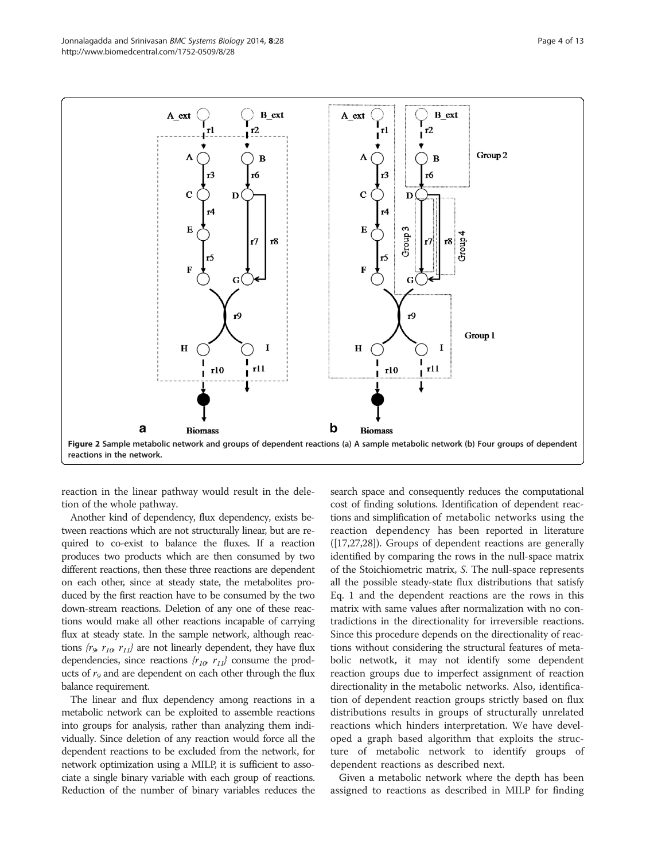<span id="page-3-0"></span>

reaction in the linear pathway would result in the deletion of the whole pathway.

Another kind of dependency, flux dependency, exists between reactions which are not structurally linear, but are required to co-exist to balance the fluxes. If a reaction produces two products which are then consumed by two different reactions, then these three reactions are dependent on each other, since at steady state, the metabolites produced by the first reaction have to be consumed by the two down-stream reactions. Deletion of any one of these reactions would make all other reactions incapable of carrying flux at steady state. In the sample network, although reactions  $\{r_{9}, r_{10}, r_{11}\}$  are not linearly dependent, they have flux dependencies, since reactions  $\{r_{10}, r_{11}\}$  consume the products of  $r<sub>9</sub>$  and are dependent on each other through the flux balance requirement.

The linear and flux dependency among reactions in a metabolic network can be exploited to assemble reactions into groups for analysis, rather than analyzing them individually. Since deletion of any reaction would force all the dependent reactions to be excluded from the network, for network optimization using a MILP, it is sufficient to associate a single binary variable with each group of reactions. Reduction of the number of binary variables reduces the

search space and consequently reduces the computational cost of finding solutions. Identification of dependent reactions and simplification of metabolic networks using the reaction dependency has been reported in literature ([\[17](#page-12-0),[27,28\]](#page-12-0)). Groups of dependent reactions are generally identified by comparing the rows in the null-space matrix of the Stoichiometric matrix, S. The null-space represents all the possible steady-state flux distributions that satisfy Eq. [1](#page-1-0) and the dependent reactions are the rows in this matrix with same values after normalization with no contradictions in the directionality for irreversible reactions. Since this procedure depends on the directionality of reactions without considering the structural features of metabolic netwotk, it may not identify some dependent reaction groups due to imperfect assignment of reaction directionality in the metabolic networks. Also, identification of dependent reaction groups strictly based on flux distributions results in groups of structurally unrelated reactions which hinders interpretation. We have developed a graph based algorithm that exploits the structure of metabolic network to identify groups of dependent reactions as described next.

Given a metabolic network where the depth has been assigned to reactions as described in [MILP for finding](#page-1-0)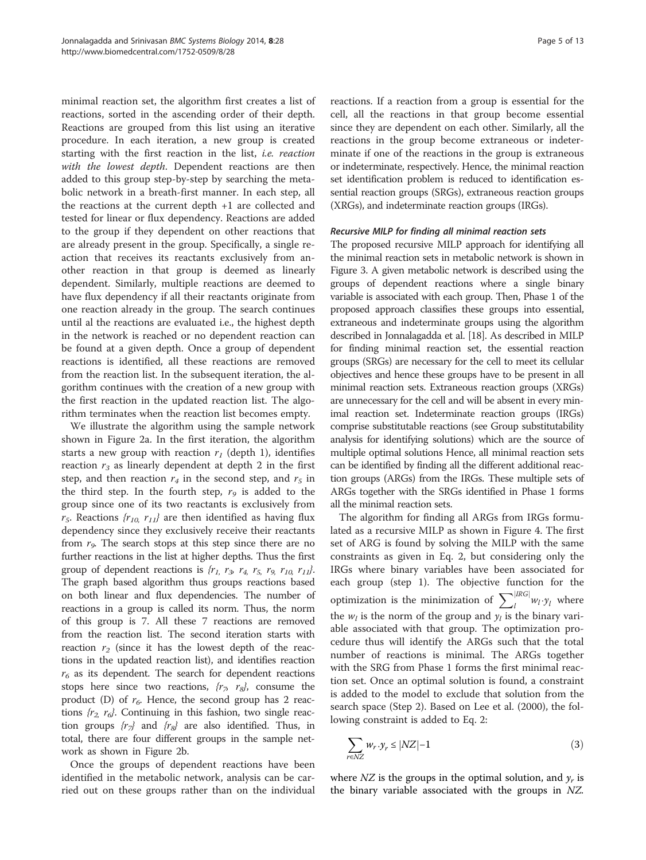<span id="page-4-0"></span>[minimal reaction set](#page-1-0), the algorithm first creates a list of reactions, sorted in the ascending order of their depth. Reactions are grouped from this list using an iterative procedure. In each iteration, a new group is created starting with the first reaction in the list, i.e. reaction with the lowest depth. Dependent reactions are then added to this group step-by-step by searching the metabolic network in a breath-first manner. In each step, all the reactions at the current depth +1 are collected and tested for linear or flux dependency. Reactions are added to the group if they dependent on other reactions that are already present in the group. Specifically, a single reaction that receives its reactants exclusively from another reaction in that group is deemed as linearly dependent. Similarly, multiple reactions are deemed to have flux dependency if all their reactants originate from one reaction already in the group. The search continues until al the reactions are evaluated i.e., the highest depth in the network is reached or no dependent reaction can be found at a given depth. Once a group of dependent reactions is identified, all these reactions are removed from the reaction list. In the subsequent iteration, the algorithm continues with the creation of a new group with the first reaction in the updated reaction list. The algorithm terminates when the reaction list becomes empty.

We illustrate the algorithm using the sample network shown in Figure [2a](#page-3-0). In the first iteration, the algorithm starts a new group with reaction  $r_1$  (depth 1), identifies reaction  $r_3$  as linearly dependent at depth 2 in the first step, and then reaction  $r_4$  in the second step, and  $r_5$  in the third step. In the fourth step,  $r_9$  is added to the group since one of its two reactants is exclusively from  $r_5$ . Reactions  $\{r_{10},\ r_{11}\}$  are then identified as having flux dependency since they exclusively receive their reactants from  $r<sub>9</sub>$ . The search stops at this step since there are no further reactions in the list at higher depths. Thus the first group of dependent reactions is  $\{r_1, r_3, r_4, r_5, r_9, r_{10}, r_{11}\}$ . The graph based algorithm thus groups reactions based on both linear and flux dependencies. The number of reactions in a group is called its norm. Thus, the norm of this group is 7. All these 7 reactions are removed from the reaction list. The second iteration starts with reaction  $r_2$  (since it has the lowest depth of the reactions in the updated reaction list), and identifies reaction  $r<sub>6</sub>$  as its dependent. The search for dependent reactions stops here since two reactions,  $\{r_{7}, r_{8}\}$ , consume the product (D) of  $r_6$ . Hence, the second group has 2 reactions  $\{r_2, r_6\}$ . Continuing in this fashion, two single reaction groups  $\{r_{\overline{z}}\}$  and  $\{r_{8}\}$  are also identified. Thus, in total, there are four different groups in the sample network as shown in Figure [2](#page-3-0)b.

Once the groups of dependent reactions have been identified in the metabolic network, analysis can be carried out on these groups rather than on the individual

reactions. If a reaction from a group is essential for the cell, all the reactions in that group become essential since they are dependent on each other. Similarly, all the reactions in the group become extraneous or indeterminate if one of the reactions in the group is extraneous or indeterminate, respectively. Hence, the minimal reaction set identification problem is reduced to identification essential reaction groups (SRGs), extraneous reaction groups (XRGs), and indeterminate reaction groups (IRGs).

### Recursive MILP for finding all minimal reaction sets

The proposed recursive MILP approach for identifying all the minimal reaction sets in metabolic network is shown in Figure [3](#page-5-0). A given metabolic network is described using the groups of dependent reactions where a single binary variable is associated with each group. Then, Phase 1 of the proposed approach classifies these groups into essential, extraneous and indeterminate groups using the algorithm described in Jonnalagadda et al. [[18](#page-12-0)]. As described in [MILP](#page-1-0) [for finding minimal reaction](#page-1-0) set, the essential reaction groups (SRGs) are necessary for the cell to meet its cellular objectives and hence these groups have to be present in all minimal reaction sets. Extraneous reaction groups (XRGs) are unnecessary for the cell and will be absent in every minimal reaction set. Indeterminate reaction groups (IRGs) comprise substitutable reactions (see [Group substitutability](#page-5-0) [analysis for identifying solutions](#page-5-0)) which are the source of multiple optimal solutions Hence, all minimal reaction sets can be identified by finding all the different additional reaction groups (ARGs) from the IRGs. These multiple sets of ARGs together with the SRGs identified in Phase 1 forms all the minimal reaction sets.

The algorithm for finding all ARGs from IRGs formulated as a recursive MILP as shown in Figure [4](#page-6-0). The first set of ARG is found by solving the MILP with the same constraints as given in Eq. [2,](#page-1-0) but considering only the IRGs where binary variables have been associated for each group (step 1). The objective function for the optimization is the minimization of  $\sum_{l}^{|I\hspace{-0.1cm}R G|} w_l \cdot y_l$  where the  $w_l$  is the norm of the group and  $y_l$  is the binary variable associated with that group. The optimization procedure thus will identify the ARGs such that the total number of reactions is minimal. The ARGs together with the SRG from Phase 1 forms the first minimal reaction set. Once an optimal solution is found, a constraint is added to the model to exclude that solution from the search space (Step 2). Based on Lee et al. (2000), the following constraint is added to Eq. [2:](#page-1-0)

$$
\sum_{r \in NZ} w_r \cdot y_r \le |NZ| - 1 \tag{3}
$$

where  $NZ$  is the groups in the optimal solution, and  $y_r$  is the binary variable associated with the groups in  $NZ$ .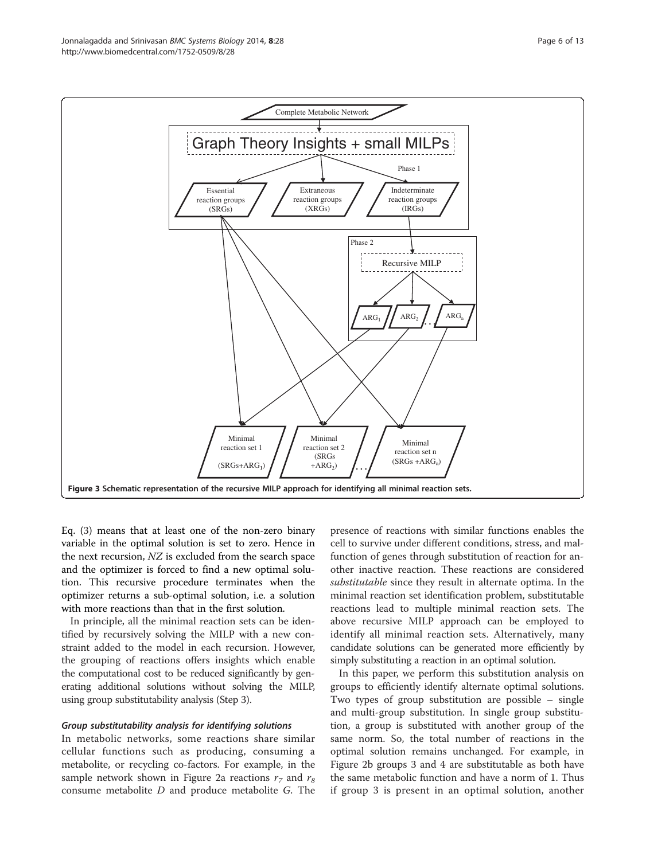

<span id="page-5-0"></span>

Eq. [\(3\)](#page-4-0) means that at least one of the non-zero binary variable in the optimal solution is set to zero. Hence in the next recursion, NZ is excluded from the search space and the optimizer is forced to find a new optimal solution. This recursive procedure terminates when the optimizer returns a sub-optimal solution, i.e. a solution with more reactions than that in the first solution.

In principle, all the minimal reaction sets can be identified by recursively solving the MILP with a new constraint added to the model in each recursion. However, the grouping of reactions offers insights which enable the computational cost to be reduced significantly by generating additional solutions without solving the MILP, using group substitutability analysis (Step 3).

## Group substitutability analysis for identifying solutions

In metabolic networks, some reactions share similar cellular functions such as producing, consuming a metabolite, or recycling co-factors. For example, in the sample network shown in Figure [2a](#page-3-0) reactions  $r<sub>7</sub>$  and  $r<sub>8</sub>$ consume metabolite D and produce metabolite G. The

presence of reactions with similar functions enables the cell to survive under different conditions, stress, and malfunction of genes through substitution of reaction for another inactive reaction. These reactions are considered substitutable since they result in alternate optima. In the minimal reaction set identification problem, substitutable reactions lead to multiple minimal reaction sets. The above recursive MILP approach can be employed to identify all minimal reaction sets. Alternatively, many candidate solutions can be generated more efficiently by simply substituting a reaction in an optimal solution.

In this paper, we perform this substitution analysis on groups to efficiently identify alternate optimal solutions. Two types of group substitution are possible – single and multi-group substitution. In single group substitution, a group is substituted with another group of the same norm. So, the total number of reactions in the optimal solution remains unchanged. For example, in Figure [2b](#page-3-0) groups 3 and 4 are substitutable as both have the same metabolic function and have a norm of 1. Thus if group 3 is present in an optimal solution, another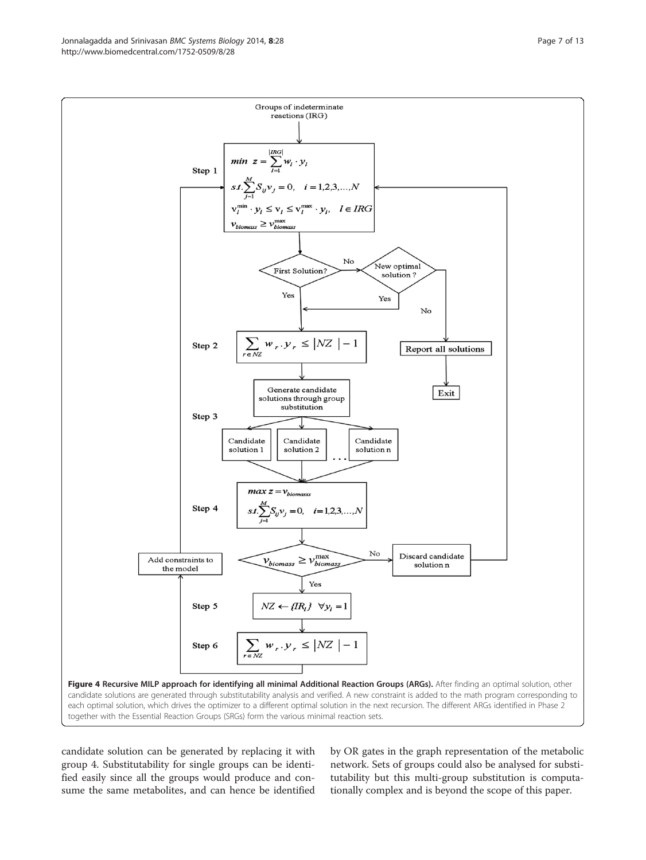<span id="page-6-0"></span>

candidate solution can be generated by replacing it with group 4. Substitutability for single groups can be identified easily since all the groups would produce and consume the same metabolites, and can hence be identified

by OR gates in the graph representation of the metabolic network. Sets of groups could also be analysed for substitutability but this multi-group substitution is computationally complex and is beyond the scope of this paper.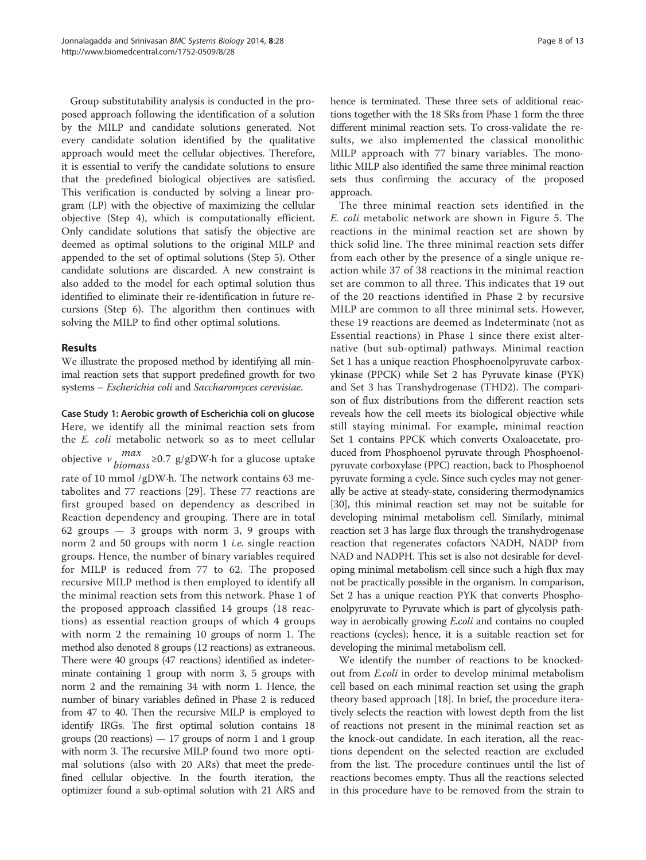Group substitutability analysis is conducted in the proposed approach following the identification of a solution by the MILP and candidate solutions generated. Not every candidate solution identified by the qualitative approach would meet the cellular objectives. Therefore, it is essential to verify the candidate solutions to ensure that the predefined biological objectives are satisfied. This verification is conducted by solving a linear program (LP) with the objective of maximizing the cellular objective (Step 4), which is computationally efficient. Only candidate solutions that satisfy the objective are deemed as optimal solutions to the original MILP and appended to the set of optimal solutions (Step 5). Other candidate solutions are discarded. A new constraint is also added to the model for each optimal solution thus identified to eliminate their re-identification in future recursions (Step 6). The algorithm then continues with solving the MILP to find other optimal solutions.

## Results

We illustrate the proposed method by identifying all minimal reaction sets that support predefined growth for two systems – Escherichia coli and Saccharomyces cerevisiae.

Case Study 1: Aerobic growth of Escherichia coli on glucose Here, we identify all the minimal reaction sets from the E. coli metabolic network so as to meet cellular objective  $v \frac{max}{biomass}$ ≥0.7 g/gDW⋅h for a glucose uptake rate of 10 mmol /gDW∙h. The network contains 63 metabolites and 77 reactions [[29](#page-12-0)]. These 77 reactions are first grouped based on dependency as described in [Reaction dependency and grouping](#page-2-0). There are in total 62 groups — 3 groups with norm 3, 9 groups with norm 2 and 50 groups with norm 1 i.e. single reaction groups. Hence, the number of binary variables required for MILP is reduced from 77 to 62. The proposed recursive MILP method is then employed to identify all the minimal reaction sets from this network. Phase 1 of the proposed approach classified 14 groups (18 reactions) as essential reaction groups of which 4 groups with norm 2 the remaining 10 groups of norm 1. The method also denoted 8 groups (12 reactions) as extraneous. There were 40 groups (47 reactions) identified as indeterminate containing 1 group with norm 3, 5 groups with norm 2 and the remaining 34 with norm 1. Hence, the number of binary variables defined in Phase 2 is reduced from 47 to 40. Then the recursive MILP is employed to identify IRGs. The first optimal solution contains 18 groups (20 reactions)  $-17$  groups of norm 1 and 1 group with norm 3. The recursive MILP found two more optimal solutions (also with 20 ARs) that meet the predefined cellular objective. In the fourth iteration, the optimizer found a sub-optimal solution with 21 ARS and hence is terminated. These three sets of additional reactions together with the 18 SRs from Phase 1 form the three different minimal reaction sets. To cross-validate the results, we also implemented the classical monolithic MILP approach with 77 binary variables. The monolithic MILP also identified the same three minimal reaction sets thus confirming the accuracy of the proposed approach.

The three minimal reaction sets identified in the E. coli metabolic network are shown in Figure [5.](#page-8-0) The reactions in the minimal reaction set are shown by thick solid line. The three minimal reaction sets differ from each other by the presence of a single unique reaction while 37 of 38 reactions in the minimal reaction set are common to all three. This indicates that 19 out of the 20 reactions identified in Phase 2 by recursive MILP are common to all three minimal sets. However, these 19 reactions are deemed as Indeterminate (not as Essential reactions) in Phase 1 since there exist alternative (but sub-optimal) pathways. Minimal reaction Set 1 has a unique reaction Phosphoenolpyruvate carboxykinase (PPCK) while Set 2 has Pyruvate kinase (PYK) and Set 3 has Transhydrogenase (THD2). The comparison of flux distributions from the different reaction sets reveals how the cell meets its biological objective while still staying minimal. For example, minimal reaction Set 1 contains PPCK which converts Oxaloacetate, produced from Phosphoenol pyruvate through Phosphoenolpyruvate corboxylase (PPC) reaction, back to Phosphoenol pyruvate forming a cycle. Since such cycles may not generally be active at steady-state, considering thermodynamics [[30](#page-12-0)], this minimal reaction set may not be suitable for developing minimal metabolism cell. Similarly, minimal reaction set 3 has large flux through the transhydrogenase reaction that regenerates cofactors NADH, NADP from NAD and NADPH. This set is also not desirable for developing minimal metabolism cell since such a high flux may not be practically possible in the organism. In comparison, Set 2 has a unique reaction PYK that converts Phosphoenolpyruvate to Pyruvate which is part of glycolysis pathway in aerobically growing *E.coli* and contains no coupled reactions (cycles); hence, it is a suitable reaction set for developing the minimal metabolism cell.

We identify the number of reactions to be knockedout from E.coli in order to develop minimal metabolism cell based on each minimal reaction set using the graph theory based approach [\[18](#page-12-0)]. In brief, the procedure iteratively selects the reaction with lowest depth from the list of reactions not present in the minimal reaction set as the knock-out candidate. In each iteration, all the reactions dependent on the selected reaction are excluded from the list. The procedure continues until the list of reactions becomes empty. Thus all the reactions selected in this procedure have to be removed from the strain to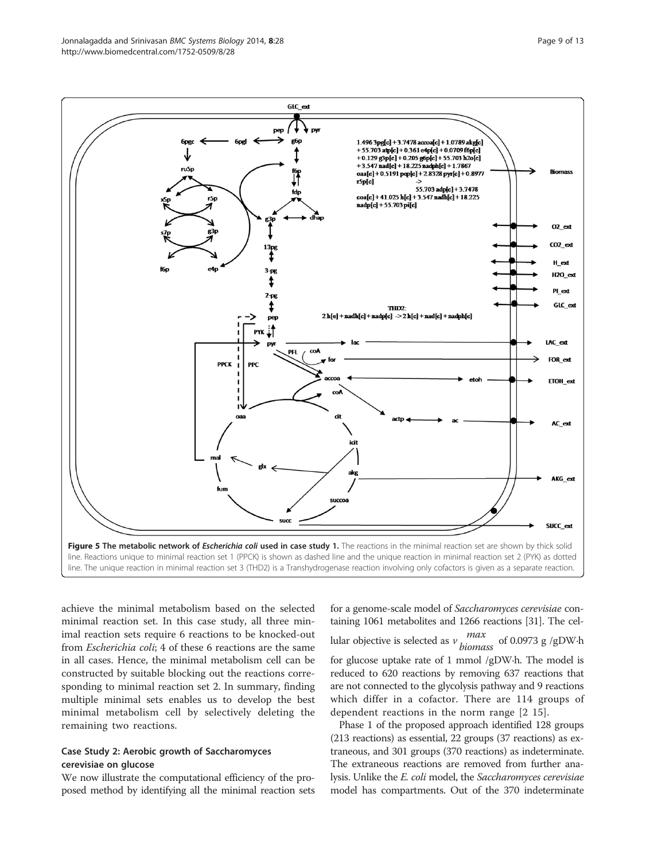<span id="page-8-0"></span>

achieve the minimal metabolism based on the selected minimal reaction set. In this case study, all three minimal reaction sets require 6 reactions to be knocked-out from Escherichia coli; 4 of these 6 reactions are the same in all cases. Hence, the minimal metabolism cell can be constructed by suitable blocking out the reactions corresponding to minimal reaction set 2. In summary, finding multiple minimal sets enables us to develop the best minimal metabolism cell by selectively deleting the remaining two reactions.

## Case Study 2: Aerobic growth of Saccharomyces cerevisiae on glucose

We now illustrate the computational efficiency of the proposed method by identifying all the minimal reaction sets for a genome-scale model of Saccharomyces cerevisiae containing 1061 metabolites and 1266 reactions [\[31\]](#page-12-0). The cellular objective is selected as  $v \frac{max}{biomass}$  of 0.0973 g /gDW⋅h for glucose uptake rate of 1 mmol /gDW∙h. The model is reduced to 620 reactions by removing 637 reactions that are not connected to the glycolysis pathway and 9 reactions which differ in a cofactor. There are 114 groups of dependent reactions in the norm range [2 15].

Phase 1 of the proposed approach identified 128 groups (213 reactions) as essential, 22 groups (37 reactions) as extraneous, and 301 groups (370 reactions) as indeterminate. The extraneous reactions are removed from further analysis. Unlike the E. coli model, the Saccharomyces cerevisiae model has compartments. Out of the 370 indeterminate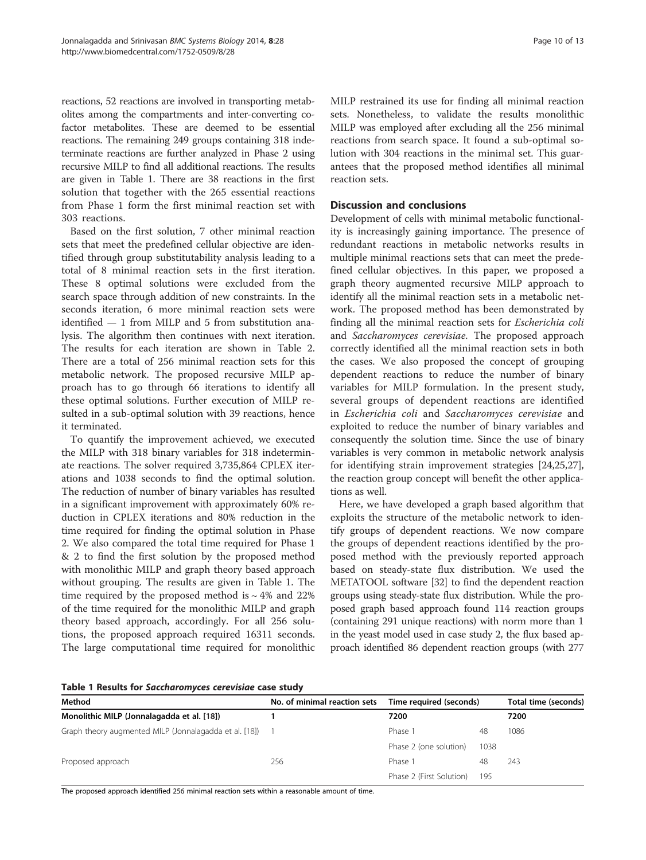reactions, 52 reactions are involved in transporting metabolites among the compartments and inter-converting cofactor metabolites. These are deemed to be essential reactions. The remaining 249 groups containing 318 indeterminate reactions are further analyzed in Phase 2 using recursive MILP to find all additional reactions. The results are given in Table 1. There are 38 reactions in the first solution that together with the 265 essential reactions from Phase 1 form the first minimal reaction set with 303 reactions.

Based on the first solution, 7 other minimal reaction sets that meet the predefined cellular objective are identified through group substitutability analysis leading to a total of 8 minimal reaction sets in the first iteration. These 8 optimal solutions were excluded from the search space through addition of new constraints. In the seconds iteration, 6 more minimal reaction sets were identified — 1 from MILP and 5 from substitution analysis. The algorithm then continues with next iteration. The results for each iteration are shown in Table [2](#page-10-0). There are a total of 256 minimal reaction sets for this metabolic network. The proposed recursive MILP approach has to go through 66 iterations to identify all these optimal solutions. Further execution of MILP resulted in a sub-optimal solution with 39 reactions, hence it terminated.

To quantify the improvement achieved, we executed the MILP with 318 binary variables for 318 indeterminate reactions. The solver required 3,735,864 CPLEX iterations and 1038 seconds to find the optimal solution. The reduction of number of binary variables has resulted in a significant improvement with approximately 60% reduction in CPLEX iterations and 80% reduction in the time required for finding the optimal solution in Phase 2. We also compared the total time required for Phase 1 & 2 to find the first solution by the proposed method with monolithic MILP and graph theory based approach without grouping. The results are given in Table 1. The time required by the proposed method is  $\sim$  4% and 22% of the time required for the monolithic MILP and graph theory based approach, accordingly. For all 256 solutions, the proposed approach required 16311 seconds. The large computational time required for monolithic MILP restrained its use for finding all minimal reaction sets. Nonetheless, to validate the results monolithic MILP was employed after excluding all the 256 minimal reactions from search space. It found a sub-optimal solution with 304 reactions in the minimal set. This guarantees that the proposed method identifies all minimal reaction sets.

## Discussion and conclusions

Development of cells with minimal metabolic functionality is increasingly gaining importance. The presence of redundant reactions in metabolic networks results in multiple minimal reactions sets that can meet the predefined cellular objectives. In this paper, we proposed a graph theory augmented recursive MILP approach to identify all the minimal reaction sets in a metabolic network. The proposed method has been demonstrated by finding all the minimal reaction sets for Escherichia coli and Saccharomyces cerevisiae. The proposed approach correctly identified all the minimal reaction sets in both the cases. We also proposed the concept of grouping dependent reactions to reduce the number of binary variables for MILP formulation. In the present study, several groups of dependent reactions are identified in Escherichia coli and Saccharomyces cerevisiae and exploited to reduce the number of binary variables and consequently the solution time. Since the use of binary variables is very common in metabolic network analysis for identifying strain improvement strategies [[24](#page-12-0),[25,27](#page-12-0)], the reaction group concept will benefit the other applications as well.

Here, we have developed a graph based algorithm that exploits the structure of the metabolic network to identify groups of dependent reactions. We now compare the groups of dependent reactions identified by the proposed method with the previously reported approach based on steady-state flux distribution. We used the METATOOL software [\[32\]](#page-12-0) to find the dependent reaction groups using steady-state flux distribution. While the proposed graph based approach found 114 reaction groups (containing 291 unique reactions) with norm more than 1 in the yeast model used in case study 2, the flux based approach identified 86 dependent reaction groups (with 277

|  |  | Table 1 Results for Saccharomyces cerevisiae case study |  |  |
|--|--|---------------------------------------------------------|--|--|
|--|--|---------------------------------------------------------|--|--|

| Method                                                 | No. of minimal reaction sets | Time required (seconds)  |      | Total time (seconds) |
|--------------------------------------------------------|------------------------------|--------------------------|------|----------------------|
| Monolithic MILP (Jonnalagadda et al. [18])             |                              | 7200                     |      | 7200                 |
| Graph theory augmented MILP (Jonnalagadda et al. [18]) |                              | Phase 1                  | 48   | 1086                 |
|                                                        |                              | Phase 2 (one solution)   | 1038 |                      |
| Proposed approach                                      | 256                          | Phase 1                  | 48   | 243                  |
|                                                        |                              | Phase 2 (First Solution) | 195  |                      |

The proposed approach identified 256 minimal reaction sets within a reasonable amount of time.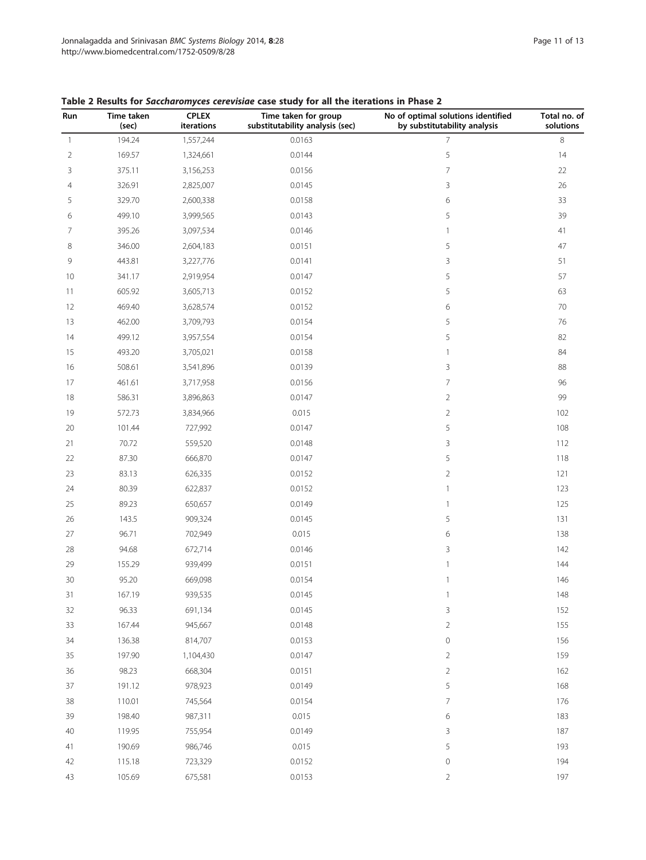| Run          | Time taken<br>(sec) | <b>CPLEX</b><br>iterations | Time taken for group<br>substitutability analysis (sec) | No of optimal solutions identified<br>by substitutability analysis | Total no. of<br>solutions |
|--------------|---------------------|----------------------------|---------------------------------------------------------|--------------------------------------------------------------------|---------------------------|
| $\mathbf{1}$ | 194.24              | 1,557,244                  | 0.0163                                                  | 7                                                                  | 8                         |
| 2            | 169.57              | 1,324,661                  | 0.0144                                                  | $\mathsf S$                                                        | 14                        |
| 3            | 375.11              | 3,156,253                  | 0.0156                                                  | $\overline{7}$                                                     | 22                        |
| 4            | 326.91              | 2,825,007                  | 0.0145                                                  | 3                                                                  | 26                        |
| 5            | 329.70              | 2,600,338                  | 0.0158                                                  | 6                                                                  | 33                        |
| 6            | 499.10              | 3,999,565                  | 0.0143                                                  | 5                                                                  | 39                        |
| 7            | 395.26              | 3,097,534                  | 0.0146                                                  | 1                                                                  | 41                        |
| 8            | 346.00              | 2,604,183                  | 0.0151                                                  | 5                                                                  | 47                        |
| 9            | 443.81              | 3,227,776                  | 0.0141                                                  | 3                                                                  | 51                        |
| 10           | 341.17              | 2,919,954                  | 0.0147                                                  | 5                                                                  | 57                        |
| 11           | 605.92              | 3,605,713                  | 0.0152                                                  | 5                                                                  | 63                        |
| 12           | 469.40              | 3,628,574                  | 0.0152                                                  | 6                                                                  | 70                        |
| 13           | 462.00              | 3,709,793                  | 0.0154                                                  | 5                                                                  | 76                        |
| 14           | 499.12              | 3,957,554                  | 0.0154                                                  | 5                                                                  | 82                        |
| 15           | 493.20              | 3,705,021                  | 0.0158                                                  | $\mathbf{1}$                                                       | 84                        |
| 16           | 508.61              | 3,541,896                  | 0.0139                                                  | 3                                                                  | 88                        |
| 17           | 461.61              | 3,717,958                  | 0.0156                                                  | $\overline{7}$                                                     | 96                        |
| 18           | 586.31              | 3,896,863                  | 0.0147                                                  | $\overline{2}$                                                     | 99                        |
| 19           | 572.73              | 3,834,966                  | 0.015                                                   | $\overline{2}$                                                     | 102                       |
| 20           | 101.44              | 727,992                    | 0.0147                                                  | 5                                                                  | 108                       |
| 21           | 70.72               | 559,520                    | 0.0148                                                  | 3                                                                  | 112                       |
| 22           | 87.30               | 666,870                    | 0.0147                                                  | 5                                                                  | 118                       |
| 23           | 83.13               | 626,335                    | 0.0152                                                  | $\overline{2}$                                                     | 121                       |
| 24           | 80.39               | 622,837                    | 0.0152                                                  | $\mathbf{1}$                                                       | 123                       |
| 25           | 89.23               | 650,657                    | 0.0149                                                  | $\mathbf{1}$                                                       | 125                       |
| 26           | 143.5               | 909,324                    | 0.0145                                                  | 5                                                                  | 131                       |
| 27           | 96.71               | 702,949                    | 0.015                                                   | 6                                                                  | 138                       |
| 28           | 94.68               | 672,714                    | 0.0146                                                  | 3                                                                  | 142                       |
| 29           | 155.29              | 939,499                    | 0.0151                                                  | 1                                                                  | 144                       |
| 30           | 95.20               | 669,098                    | 0.0154                                                  | 1                                                                  | 146                       |
| 31           | 167.19              | 939,535                    | 0.0145                                                  | $\mathbf{1}$                                                       | 148                       |
| 32           | 96.33               | 691,134                    | 0.0145                                                  | 3                                                                  | 152                       |
| 33           | 167.44              | 945,667                    | 0.0148                                                  | $\sqrt{2}$                                                         | 155                       |
| 34           | 136.38              | 814,707                    | 0.0153                                                  | $\mathbf 0$                                                        | 156                       |
| 35           | 197.90              | 1,104,430                  | 0.0147                                                  | $\overline{2}$                                                     | 159                       |
| 36           | 98.23               | 668,304                    | 0.0151                                                  | $\overline{2}$                                                     | 162                       |
| 37           | 191.12              | 978,923                    | 0.0149                                                  | $\mathsf S$                                                        | 168                       |
| 38           | 110.01              | 745,564                    | 0.0154                                                  | $\overline{7}$                                                     | 176                       |
| 39           | 198.40              | 987,311                    | 0.015                                                   | 6                                                                  | 183                       |
| 40           | 119.95              | 755,954                    | 0.0149                                                  | $\mathsf{3}$                                                       | 187                       |
| 41           | 190.69              | 986,746                    | 0.015                                                   | 5                                                                  | 193                       |
| 42           | 115.18              | 723,329                    | 0.0152                                                  | $\mathbf 0$                                                        | 194                       |
| 43           | 105.69              | 675,581                    | 0.0153                                                  | $\overline{2}$                                                     | 197                       |

<span id="page-10-0"></span>Table 2 Results for Saccharomyces cerevisiae case study for all the iterations in Phase 2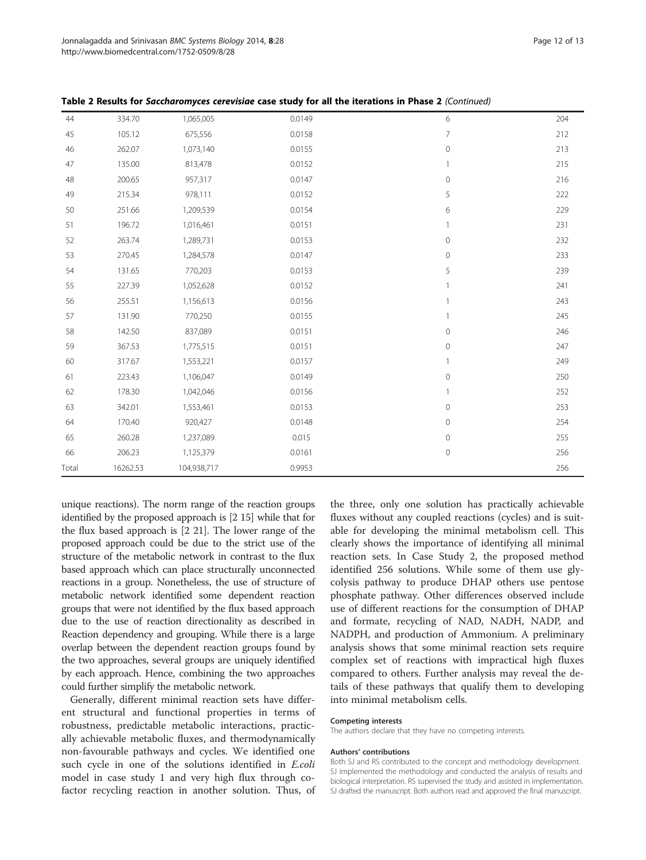unique reactions). The norm range of the reaction groups identified by the proposed approach is [2 15] while that for the flux based approach is [2 21]. The lower range of the proposed approach could be due to the strict use of the structure of the metabolic network in contrast to the flux based approach which can place structurally unconnected reactions in a group. Nonetheless, the use of structure of metabolic network identified some dependent reaction groups that were not identified by the flux based approach due to the use of reaction directionality as described in [Reaction dependency and grouping](#page-2-0). While there is a large overlap between the dependent reaction groups found by the two approaches, several groups are uniquely identified by each approach. Hence, combining the two approaches could further simplify the metabolic network.

Generally, different minimal reaction sets have different structural and functional properties in terms of robustness, predictable metabolic interactions, practically achievable metabolic fluxes, and thermodynamically non-favourable pathways and cycles. We identified one such cycle in one of the solutions identified in *E.coli* model in case study 1 and very high flux through cofactor recycling reaction in another solution. Thus, of

the three, only one solution has practically achievable fluxes without any coupled reactions (cycles) and is suitable for developing the minimal metabolism cell. This clearly shows the importance of identifying all minimal reaction sets. In Case Study 2, the proposed method identified 256 solutions. While some of them use glycolysis pathway to produce DHAP others use pentose phosphate pathway. Other differences observed include use of different reactions for the consumption of DHAP and formate, recycling of NAD, NADH, NADP, and NADPH, and production of Ammonium. A preliminary analysis shows that some minimal reaction sets require complex set of reactions with impractical high fluxes compared to others. Further analysis may reveal the details of these pathways that qualify them to developing into minimal metabolism cells.

#### Competing interests

The authors declare that they have no competing interests.

#### Authors' contributions

Both SJ and RS contributed to the concept and methodology development. SJ implemented the methodology and conducted the analysis of results and biological interpretation. RS supervised the study and assisted in implementation. SJ drafted the manuscript. Both authors read and approved the final manuscript.

| 44    | 334.70   | 1,065,005   | 0.0149 | 6              | 204 |
|-------|----------|-------------|--------|----------------|-----|
| 45    | 105.12   | 675,556     | 0.0158 | $\overline{7}$ | 212 |
| 46    | 262.07   | 1,073,140   | 0.0155 | $\mathbf 0$    | 213 |
| 47    | 135.00   | 813,478     | 0.0152 | $\mathbf{1}$   | 215 |
| 48    | 200.65   | 957,317     | 0.0147 | $\circ$        | 216 |
| 49    | 215.34   | 978,111     | 0.0152 | 5              | 222 |
| 50    | 251.66   | 1,209,539   | 0.0154 | 6              | 229 |
| 51    | 196.72   | 1,016,461   | 0.0151 | 1              | 231 |
| 52    | 263.74   | 1,289,731   | 0.0153 | $\circ$        | 232 |
| 53    | 270.45   | 1,284,578   | 0.0147 | $\circ$        | 233 |
| 54    | 131.65   | 770,203     | 0.0153 | 5              | 239 |
| 55    | 227.39   | 1,052,628   | 0.0152 | $\mathbf{1}$   | 241 |
| 56    | 255.51   | 1,156,613   | 0.0156 | 1              | 243 |
| 57    | 131.90   | 770,250     | 0.0155 | 1              | 245 |
| 58    | 142.50   | 837,089     | 0.0151 | $\circ$        | 246 |
| 59    | 367.53   | 1,775,515   | 0.0151 | $\circ$        | 247 |
| 60    | 317.67   | 1,553,221   | 0.0157 | 1              | 249 |
| 61    | 223.43   | 1,106,047   | 0.0149 | $\mathbf 0$    | 250 |
| 62    | 178.30   | 1,042,046   | 0.0156 | 1              | 252 |
| 63    | 342.01   | 1,553,461   | 0.0153 | $\mathbf{0}$   | 253 |
| 64    | 170.40   | 920,427     | 0.0148 | $\mathbf{0}$   | 254 |
| 65    | 260.28   | 1,237,089   | 0.015  | $\circ$        | 255 |
| 66    | 206.23   | 1,125,379   | 0.0161 | $\mathbf 0$    | 256 |
| Total | 16262.53 | 104,938,717 | 0.9953 |                | 256 |

Table 2 Results for Saccharomyces cerevisiae case study for all the iterations in Phase 2 (Continued)